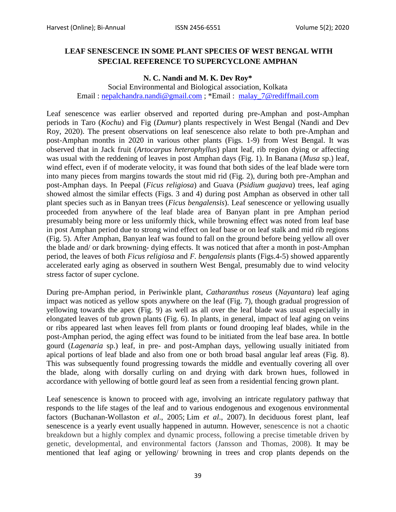## **LEAF SENESCENCE IN SOME PLANT SPECIES OF WEST BENGAL WITH SPECIAL REFERENCE TO SUPERCYCLONE AMPHAN**

## **N. C. Nandi and M. K. Dev Roy\***

Social Environmental and Biological association, Kolkata Email : [nepalchandra.nandi@gmail.com](mailto:nepalchandra.nandi@gmail.com) ; \*Email : [malay\\_7@rediffmail.com](mailto:malay_7@rediffmail.com)

Leaf senescence was earlier observed and reported during pre-Amphan and post-Amphan periods in Taro (*Kochu*) and Fig (*Dumur*) plants respectively in West Bengal (Nandi and Dev Roy, 2020). The present observations on leaf senescence also relate to both pre-Amphan and post-Amphan months in 2020 in various other plants (Figs. 1-9) from West Bengal. It was observed that in Jack fruit (*Artocarpus heterophyllus*) plant leaf, rib region dying or affecting was usual with the reddening of leaves in post Amphan days (Fig. 1). In Banana (*Musa* sp.) leaf, wind effect, even if of moderate velocity, it was found that both sides of the leaf blade were torn into many pieces from margins towards the stout mid rid (Fig. 2), during both pre-Amphan and post-Amphan days. In Peepal (*Ficus religiosa*) and Guava (*Psidium guajava*) trees, leaf aging showed almost the similar effects (Figs. 3 and 4) during post Amphan as observed in other tall plant species such as in Banyan trees (*Ficus bengalensis*). Leaf senescence or yellowing usually proceeded from anywhere of the leaf blade area of Banyan plant in pre Amphan period presumably being more or less uniformly thick, while browning effect was noted from leaf base in post Amphan period due to strong wind effect on leaf base or on leaf stalk and mid rib regions (Fig. 5). After Amphan, Banyan leaf was found to fall on the ground before being yellow all over the blade and/ or dark browning- dying effects. It was noticed that after a month in post-Amphan period, the leaves of both *Ficus religiosa* and *F. bengalensis* plants (Figs.4-5) showed apparently accelerated early aging as observed in southern West Bengal, presumably due to wind velocity stress factor of super cyclone.

During pre-Amphan period, in Periwinkle plant, *Catharanthus roseus* (*Nayantara*) leaf aging impact was noticed as yellow spots anywhere on the leaf (Fig. 7), though gradual progression of yellowing towards the apex (Fig. 9) as well as all over the leaf blade was usual especially in elongated leaves of tub grown plants (Fig. 6). In plants, in general, impact of leaf aging on veins or ribs appeared last when leaves fell from plants or found drooping leaf blades, while in the post-Amphan period, the aging effect was found to be initiated from the leaf base area. In bottle gourd (*Lagenaria* sp.) leaf, in pre- and post-Amphan days, yellowing usually initiated from apical portions of leaf blade and also from one or both broad basal angular leaf areas (Fig. 8). This was subsequently found progressing towards the middle and eventually covering all over the blade, along with dorsally curling on and drying with dark brown hues, followed in accordance with yellowing of bottle gourd leaf as seen from a residential fencing grown plant.

Leaf senescence is known to proceed with age, involving an intricate regulatory pathway that responds to the life stages of the leaf and to various endogenous and exogenous environmental factors [\(Buchanan-Wollaston](https://jcs.biologists.org/content/126/21/4823#ref-8) *et al*., 2005; Lim *et al*., 2007). In deciduous forest plant, leaf senescence is a yearly event usually happened in autumn. However, senescence is not a chaotic breakdown but a highly complex and dynamic process, following a precise timetable driven by genetic, developmental, and environmental factors (Jansson and Thomas, 2008). It may be mentioned that leaf aging or yellowing/ browning in trees and crop plants depends on the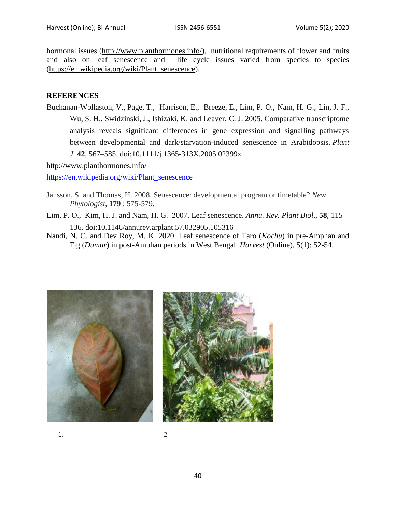hormonal issues [\(http://www.planthormones.info/\)](http://www.planthormones.info/), nutritional requirements of flower and fruits and also on leaf senescence and life cycle issues varied from species to species [\(https://en.wikipedia.org/wiki/Plant\\_senescence\)](https://en.wikipedia.org/wiki/Plant_senescence).

## **REFERENCES**

Buchanan-Wollaston, V., Page, T., Harrison, E., Breeze, E., Lim, P. O., Nam, H. G., Lin, J. F., Wu, S. H., Swidzinski, J., Ishizaki, K. and Leaver, C. J. 2005. Comparative transcriptome analysis reveals significant differences in gene expression and signalling pathways between developmental and dark/starvation-induced senescence in Arabidopsis. *Plant J*. **42**, 567–585. doi:10.1111/j.1365-313X.2005.02399x

<http://www.planthormones.info/>

[https://en.wikipedia.org/wiki/Plant\\_senescence](https://en.wikipedia.org/wiki/Plant_senescence) 

- Jansson, S. and Thomas, H. 2008. Senescence: developmental program or timetable? *New Phytologist*, **179** : 575-579.
- Lim, P. O., Kim, H. J. and Nam, H. G. 2007. Leaf senescence. *Annu. Rev. Plant Biol*., **58**, 115– 136. doi:10.1146/annurev.arplant.57.032905.105316
- Nandi, N. C. and Dev Roy, M. K. 2020. Leaf senescence of Taro (*Kochu*) in pre-Amphan and Fig (*Dumur*) in post-Amphan periods in West Bengal. *Harvest* (Online), **5**(1): 52-54.





 $1.$  2.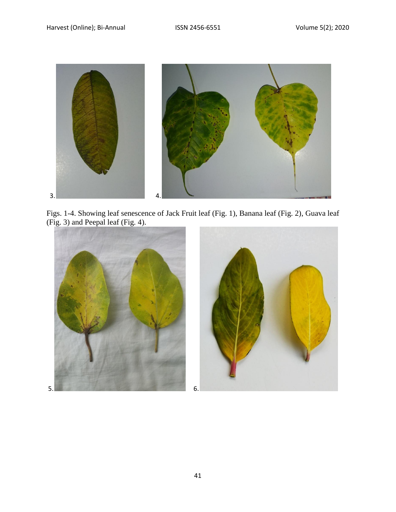

Figs. 1-4. Showing leaf senescence of Jack Fruit leaf (Fig. 1), Banana leaf (Fig. 2), Guava leaf (Fig. 3) and Peepal leaf (Fig. 4).